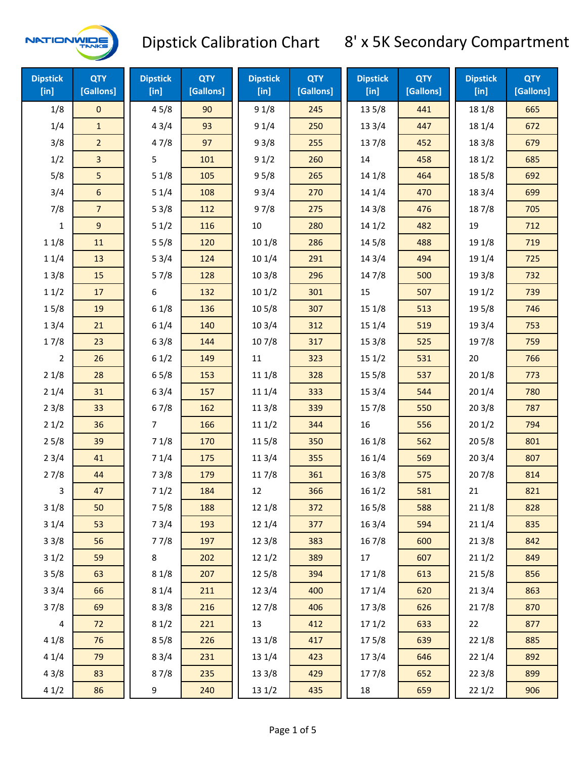

| <b>Dipstick</b><br>[in] | <b>QTY</b><br>[Gallons] | <b>Dipstick</b><br>[in] | <b>QTY</b><br>[Gallons] | <b>Dipstick</b><br>[in] | <b>QTY</b><br>[Gallons] | <b>Dipstick</b><br>[in] | <b>QTY</b><br>[Gallons] | <b>Dipstick</b><br>[in] | <b>QTY</b><br>[Gallons] |
|-------------------------|-------------------------|-------------------------|-------------------------|-------------------------|-------------------------|-------------------------|-------------------------|-------------------------|-------------------------|
| 1/8                     | $\mathbf 0$             | 45/8                    | 90                      | 91/8                    | 245                     | 13 5/8                  | 441                     | 18 1/8                  | 665                     |
| 1/4                     | $\mathbf 1$             | 43/4                    | 93                      | 91/4                    | 250                     | 13 3/4                  | 447                     | 18 1/4                  | 672                     |
| 3/8                     | $\overline{2}$          | 47/8                    | 97                      | 93/8                    | 255                     | 137/8                   | 452                     | 18 3/8                  | 679                     |
| 1/2                     | $\overline{3}$          | 5                       | 101                     | 91/2                    | 260                     | 14                      | 458                     | 181/2                   | 685                     |
| 5/8                     | 5                       | 51/8                    | 105                     | 95/8                    | 265                     | 14 1/8                  | 464                     | 185/8                   | 692                     |
| 3/4                     | $\boldsymbol{6}$        | 51/4                    | 108                     | 93/4                    | 270                     | 14 1/4                  | 470                     | 183/4                   | 699                     |
| 7/8                     | $\overline{7}$          | 53/8                    | 112                     | 97/8                    | 275                     | 14 3/8                  | 476                     | 187/8                   | 705                     |
| $\mathbf{1}$            | $\mathsf g$             | 51/2                    | 116                     | 10                      | 280                     | 141/2                   | 482                     | 19                      | 712                     |
| 11/8                    | 11                      | 55/8                    | 120                     | 101/8                   | 286                     | 14 5/8                  | 488                     | 19 1/8                  | 719                     |
| 11/4                    | 13                      | 53/4                    | 124                     | 10 1/4                  | 291                     | 14 3/4                  | 494                     | 19 1/4                  | 725                     |
| 13/8                    | 15                      | 57/8                    | 128                     | 103/8                   | 296                     | 147/8                   | 500                     | 19 3/8                  | 732                     |
| 11/2                    | 17                      | 6                       | 132                     | 101/2                   | 301                     | 15                      | 507                     | 191/2                   | 739                     |
| 15/8                    | 19                      | 61/8                    | 136                     | 10 <sub>5</sub> /8      | 307                     | 15 1/8                  | 513                     | 195/8                   | 746                     |
| 13/4                    | 21                      | 61/4                    | 140                     | 103/4                   | 312                     | 15 1/4                  | 519                     | 19 3/4                  | 753                     |
| 17/8                    | 23                      | 63/8                    | 144                     | 107/8                   | 317                     | 153/8                   | 525                     | 197/8                   | 759                     |
| $\overline{2}$          | 26                      | 61/2                    | 149                     | 11                      | 323                     | 151/2                   | 531                     | 20                      | 766                     |
| 21/8                    | 28                      | 65/8                    | 153                     | 11 1/8                  | 328                     | 15 5/8                  | 537                     | 201/8                   | 773                     |
| 21/4                    | 31                      | 63/4                    | 157                     | 11 1/4                  | 333                     | 153/4                   | 544                     | 201/4                   | 780                     |
| 23/8                    | 33                      | 67/8                    | 162                     | 11 3/8                  | 339                     | 15 7/8                  | 550                     | 203/8                   | 787                     |
| 21/2                    | 36                      | $\overline{7}$          | 166                     | 111/2                   | 344                     | 16                      | 556                     | 201/2                   | 794                     |
| 25/8                    | 39                      | 71/8                    | 170                     | 11 5/8                  | 350                     | 16 1/8                  | 562                     | 205/8                   | 801                     |
| 23/4                    | 41                      | 71/4                    | 175                     | 11 3/4                  | 355                     | 16 1/4                  | 569                     | 203/4                   | 807                     |
| 27/8                    | 44                      | 73/8                    | 179                     | 11 7/8                  | 361                     | 163/8                   | 575                     | 207/8                   | 814                     |
| 3                       | 47                      | 71/2                    | 184                     | 12                      | 366                     | 161/2                   | 581                     | 21                      | 821                     |
| 31/8                    | 50                      | 75/8                    | 188                     | 12 1/8                  | 372                     | 16 5/8                  | 588                     | 21 1/8                  | 828                     |
| 31/4                    | 53                      | 73/4                    | 193                     | 12 1/4                  | 377                     | 16 3/4                  | 594                     | 211/4                   | 835                     |
| 33/8                    | 56                      | 77/8                    | 197                     | 12 3/8                  | 383                     | 16 7/8                  | 600                     | 213/8                   | 842                     |
| 31/2                    | 59                      | 8                       | 202                     | 121/2                   | 389                     | 17                      | 607                     | 211/2                   | 849                     |
| 35/8                    | 63                      | 81/8                    | 207                     | 12 5/8                  | 394                     | 17 1/8                  | 613                     | 215/8                   | 856                     |
| 33/4                    | 66                      | 81/4                    | 211                     | 123/4                   | 400                     | 171/4                   | 620                     | 213/4                   | 863                     |
| 37/8                    | 69                      | 83/8                    | 216                     | 12 7/8                  | 406                     | 17 3/8                  | 626                     | 217/8                   | 870                     |
| $\overline{4}$          | $72$                    | 81/2                    | 221                     | 13                      | 412                     | 171/2                   | 633                     | 22                      | 877                     |
| 41/8                    | 76                      | 85/8                    | 226                     | 13 1/8                  | 417                     | 175/8                   | 639                     | 221/8                   | 885                     |
| 41/4                    | 79                      | 83/4                    | 231                     | 13 1/4                  | 423                     | 17 3/4                  | 646                     | 221/4                   | 892                     |
| 43/8                    | 83                      | 87/8                    | 235                     | 13 3/8                  | 429                     | 177/8                   | 652                     | 223/8                   | 899                     |
| 41/2                    | 86                      | 9                       | 240                     | 13 1/2                  | 435                     | 18                      | 659                     | 221/2                   | 906                     |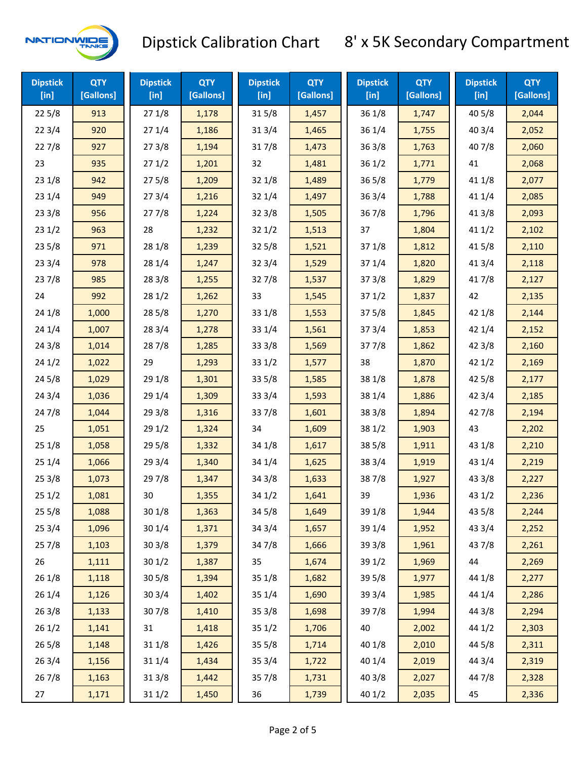

**QTY [Gallons]**

**Dipstick [in]**

| <b>Dipstick</b><br>$[$ in] | <b>QTY</b><br>[Gallons] | <b>Dipstick</b><br>[in] | <b>QTY</b><br>[Gallons] | <b>Dipstick</b><br>$[$ in] | <b>QTY</b><br>[Gallons] | <b>Dipstick</b><br>[in] | <b>QTY</b><br>[Gallons] |  |  |
|----------------------------|-------------------------|-------------------------|-------------------------|----------------------------|-------------------------|-------------------------|-------------------------|--|--|
| 271/8                      | 1,178                   | 315/8                   | 1,457                   | 361/8                      | 1,747                   | 40 5/8                  | 2,044                   |  |  |

| 225/8  | 913   | 271/8  | 1,178 | 315/8     | 1,457 | 361/8     | 1,747 | $40\,5/8$ | 2,044 |
|--------|-------|--------|-------|-----------|-------|-----------|-------|-----------|-------|
| 223/4  | 920   | 27 1/4 | 1,186 | 313/4     | 1,465 | 361/4     | 1,755 | 40 3/4    | 2,052 |
| 227/8  | 927   | 27 3/8 | 1,194 | 317/8     | 1,473 | 363/8     | 1,763 | 407/8     | 2,060 |
| 23     | 935   | 271/2  | 1,201 | 32        | 1,481 | 361/2     | 1,771 | 41        | 2,068 |
| 231/8  | 942   | 275/8  | 1,209 | 32 1/8    | 1,489 | $36\,5/8$ | 1,779 | 41 1/8    | 2,077 |
| 23 1/4 | 949   | 27 3/4 | 1,216 | 32 1/4    | 1,497 | 363/4     | 1,788 | 41 1/4    | 2,085 |
| 233/8  | 956   | 277/8  | 1,224 | 32 3/8    | 1,505 | 367/8     | 1,796 | 413/8     | 2,093 |
| 231/2  | 963   | 28     | 1,232 | 321/2     | 1,513 | 37        | 1,804 | 411/2     | 2,102 |
| 235/8  | 971   | 28 1/8 | 1,239 | $32\,5/8$ | 1,521 | 371/8     | 1,812 | 41 5/8    | 2,110 |
| 23 3/4 | 978   | 28 1/4 | 1,247 | 323/4     | 1,529 | 371/4     | 1,820 | 41 3/4    | 2,118 |
| 237/8  | 985   | 28 3/8 | 1,255 | 327/8     | 1,537 | 373/8     | 1,829 | 417/8     | 2,127 |
| 24     | 992   | 28 1/2 | 1,262 | 33        | 1,545 | 371/2     | 1,837 | 42        | 2,135 |
| 24 1/8 | 1,000 | 28 5/8 | 1,270 | 33 1/8    | 1,553 | 375/8     | 1,845 | 42 1/8    | 2,144 |
| 24 1/4 | 1,007 | 28 3/4 | 1,278 | 33 1/4    | 1,561 | 373/4     | 1,853 | 42 1/4    | 2,152 |
| 24 3/8 | 1,014 | 287/8  | 1,285 | 33 3/8    | 1,569 | 377/8     | 1,862 | 42 3/8    | 2,160 |
| 241/2  | 1,022 | 29     | 1,293 | 331/2     | 1,577 | 38        | 1,870 | 421/2     | 2,169 |
| 245/8  | 1,029 | 29 1/8 | 1,301 | 33 5/8    | 1,585 | 38 1/8    | 1,878 | 42 5/8    | 2,177 |
| 243/4  | 1,036 | 29 1/4 | 1,309 | 33 3/4    | 1,593 | 38 1/4    | 1,886 | 42 3/4    | 2,185 |
| 24 7/8 | 1,044 | 293/8  | 1,316 | 337/8     | 1,601 | 38 3/8    | 1,894 | 42 7/8    | 2,194 |
| 25     | 1,051 | 29 1/2 | 1,324 | 34        | 1,609 | 381/2     | 1,903 | 43        | 2,202 |
| 25 1/8 | 1,058 | 29 5/8 | 1,332 | 34 1/8    | 1,617 | 38 5/8    | 1,911 | 43 1/8    | 2,210 |
| 251/4  | 1,066 | 29 3/4 | 1,340 | 34 1/4    | 1,625 | 38 3/4    | 1,919 | 43 1/4    | 2,219 |
| 253/8  | 1,073 | 297/8  | 1,347 | 34 3/8    | 1,633 | 387/8     | 1,927 | 43 3/8    | 2,227 |
| 251/2  | 1,081 | 30     | 1,355 | 34 1/2    | 1,641 | 39        | 1,936 | 43 1/2    | 2,236 |
| 255/8  | 1,088 | 301/8  | 1,363 | 345/8     | 1,649 | 39 1/8    | 1,944 | 43 5/8    | 2,244 |
| 253/4  | 1,096 | 30 1/4 | 1,371 | 34 3/4    | 1,657 | 39 1/4    | 1,952 | 43 3/4    | 2,252 |
| 257/8  | 1,103 | 30 3/8 | 1,379 | 347/8     | 1,666 | 39 3/8    | 1,961 | 437/8     | 2,261 |
| 26     | 1,111 | 301/2  | 1,387 | 35        | 1,674 | 39 1/2    | 1,969 | 44        | 2,269 |
| 26 1/8 | 1,118 | 305/8  | 1,394 | 35 1/8    | 1,682 | 395/8     | 1,977 | 44 1/8    | 2,277 |
| 26 1/4 | 1,126 | 30 3/4 | 1,402 | 35 1/4    | 1,690 | 39 3/4    | 1,985 | 44 1/4    | 2,286 |
| 263/8  | 1,133 | 307/8  | 1,410 | 353/8     | 1,698 | 397/8     | 1,994 | 44 3/8    | 2,294 |
| 261/2  | 1,141 | 31     | 1,418 | 351/2     | 1,706 | 40        | 2,002 | 44 1/2    | 2,303 |
| 265/8  | 1,148 | 31 1/8 | 1,426 | 355/8     | 1,714 | 40 1/8    | 2,010 | 44 5/8    | 2,311 |
| 263/4  | 1,156 | 311/4  | 1,434 | 35 3/4    | 1,722 | 40 1/4    | 2,019 | 44 3/4    | 2,319 |
| 267/8  | 1,163 | 31 3/8 | 1,442 | 357/8     | 1,731 | 40 3/8    | 2,027 | 447/8     | 2,328 |
| 27     | 1,171 | 31 1/2 | 1,450 | 36        | 1,739 | 40 1/2    | 2,035 | 45        | 2,336 |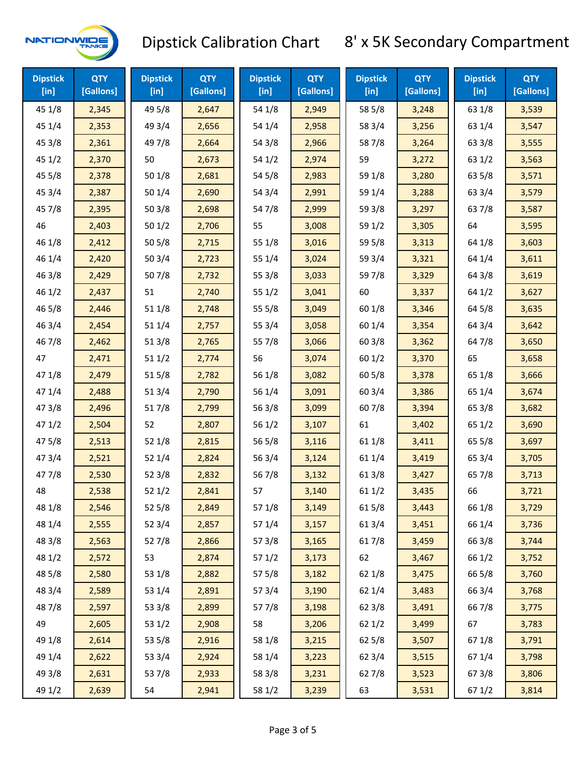

| <b>Dipstick</b><br>$[$ in] | <b>QTY</b><br>[Gallons] | <b>Dipstick</b><br>$[$ in] | <b>QTY</b><br>[Gallons] | <b>Dipstick</b><br>$[$ in] | <b>QTY</b><br>[Gallons] | <b>Dipstick</b><br>[in] | <b>QTY</b><br>[Gallons] | <b>Dipstick</b><br>$[$ in] | <b>QTY</b><br>[Gallons] |
|----------------------------|-------------------------|----------------------------|-------------------------|----------------------------|-------------------------|-------------------------|-------------------------|----------------------------|-------------------------|
| 45 1/8                     | 2,345                   | 49 5/8                     | 2,647                   | 54 1/8                     | 2,949                   | 58 5/8                  | 3,248                   | 63 1/8                     | 3,539                   |
| 45 1/4                     | 2,353                   | 49 3/4                     | 2,656                   | 54 1/4                     | 2,958                   | 58 3/4                  | 3,256                   | 63 1/4                     | 3,547                   |
| 45 3/8                     | 2,361                   | 49 7/8                     | 2,664                   | 54 3/8                     | 2,966                   | 587/8                   | 3,264                   | 63 3/8                     | 3,555                   |
| 451/2                      | 2,370                   | 50                         | 2,673                   | 541/2                      | 2,974                   | 59                      | 3,272                   | 63 1/2                     | 3,563                   |
| 45 5/8                     | 2,378                   | 50 1/8                     | 2,681                   | 54 5/8                     | 2,983                   | 59 1/8                  | 3,280                   | 63 5/8                     | 3,571                   |
| 45 3/4                     | 2,387                   | 50 1/4                     | 2,690                   | 54 3/4                     | 2,991                   | 59 1/4                  | 3,288                   | 63 3/4                     | 3,579                   |
| 45 7/8                     | 2,395                   | 503/8                      | 2,698                   | 54 7/8                     | 2,999                   | 59 3/8                  | 3,297                   | 63 7/8                     | 3,587                   |
| 46                         | 2,403                   | 501/2                      | 2,706                   | 55                         | 3,008                   | 59 1/2                  | 3,305                   | 64                         | 3,595                   |
| 46 1/8                     | 2,412                   | 50 5/8                     | 2,715                   | 55 1/8                     | 3,016                   | 59 5/8                  | 3,313                   | 64 1/8                     | 3,603                   |
| 46 1/4                     | 2,420                   | 50 3/4                     | 2,723                   | 55 1/4                     | 3,024                   | 59 3/4                  | 3,321                   | 64 1/4                     | 3,611                   |
| 46 3/8                     | 2,429                   | 507/8                      | 2,732                   | 553/8                      | 3,033                   | 597/8                   | 3,329                   | 64 3/8                     | 3,619                   |
| 46 1/2                     | 2,437                   | 51                         | 2,740                   | 551/2                      | 3,041                   | 60                      | 3,337                   | 64 1/2                     | 3,627                   |
| 46 5/8                     | 2,446                   | 511/8                      | 2,748                   | 55 5/8                     | 3,049                   | 60 1/8                  | 3,346                   | 64 5/8                     | 3,635                   |
| 46 3/4                     | 2,454                   | 51 1/4                     | 2,757                   | 55 3/4                     | 3,058                   | 60 1/4                  | 3,354                   | 64 3/4                     | 3,642                   |
| 46 7/8                     | 2,462                   | 513/8                      | 2,765                   | 55 7/8                     | 3,066                   | 60 3/8                  | 3,362                   | 64 7/8                     | 3,650                   |
| 47                         | 2,471                   | 511/2                      | 2,774                   | 56                         | 3,074                   | 60 1/2                  | 3,370                   | 65                         | 3,658                   |
| 47 1/8                     | 2,479                   | 515/8                      | 2,782                   | 56 1/8                     | 3,082                   | 60 5/8                  | 3,378                   | 65 1/8                     | 3,666                   |
| 47 1/4                     | 2,488                   | 513/4                      | 2,790                   | 56 1/4                     | 3,091                   | 60 3/4                  | 3,386                   | 65 1/4                     | 3,674                   |
| 47 3/8                     | 2,496                   | 517/8                      | 2,799                   | 56 3/8                     | 3,099                   | 607/8                   | 3,394                   | 65 3/8                     | 3,682                   |
| 471/2                      | 2,504                   | 52                         | 2,807                   | 561/2                      | 3,107                   | 61                      | 3,402                   | 65 1/2                     | 3,690                   |
| 475/8                      | 2,513                   | 52 1/8                     | 2,815                   | 56 5/8                     | 3,116                   | 61 1/8                  | 3,411                   | 65 5/8                     | 3,697                   |
| 47 3/4                     | 2,521                   | 521/4                      | 2,824                   | 56 3/4                     | 3,124                   | 61 1/4                  | 3,419                   | 65 3/4                     | 3,705                   |
| 477/8                      | 2,530                   | 52 3/8                     | 2,832                   | 567/8                      | 3,132                   | 61 3/8                  | 3,427                   | 65 7/8                     | 3,713                   |
| 48                         | 2,538                   | 52 1/2                     | 2,841                   | 57                         | 3,140                   | 61 1/2                  | 3,435                   | 66                         | 3,721                   |
| 48 1/8                     | 2,546                   | 52 5/8                     | 2,849                   | 57 1/8                     | 3,149                   | 615/8                   | 3,443                   | 66 1/8                     | 3,729                   |
| 48 1/4                     | 2,555                   | 52 3/4                     | 2,857                   | 57 1/4                     | 3,157                   | 61 3/4                  | 3,451                   | 66 1/4                     | 3,736                   |
| 48 3/8                     | 2,563                   | 527/8                      | 2,866                   | 57 3/8                     | 3,165                   | 617/8                   | 3,459                   | 66 3/8                     | 3,744                   |
| 48 1/2                     | 2,572                   | 53                         | 2,874                   | 571/2                      | 3,173                   | 62                      | 3,467                   | 66 1/2                     | 3,752                   |
| 48 5/8                     | 2,580                   | 53 1/8                     | 2,882                   | 57 5/8                     | 3,182                   | 62 1/8                  | 3,475                   | 66 5/8                     | 3,760                   |
| 48 3/4                     | 2,589                   | 53 1/4                     | 2,891                   | 573/4                      | 3,190                   | 62 1/4                  | 3,483                   | 66 3/4                     | 3,768                   |
| 487/8                      | 2,597                   | 53 3/8                     | 2,899                   | 577/8                      | 3,198                   | 62 3/8                  | 3,491                   | 667/8                      | 3,775                   |
| 49                         | 2,605                   | 53 1/2                     | 2,908                   | 58                         | 3,206                   | 621/2                   | 3,499                   | 67                         | 3,783                   |
| 49 1/8                     | 2,614                   | 53 5/8                     | 2,916                   | 58 1/8                     | 3,215                   | 62 5/8                  | 3,507                   | 671/8                      | 3,791                   |
| 49 1/4                     | 2,622                   | 53 3/4                     | 2,924                   | 58 1/4                     | 3,223                   | 62 3/4                  | 3,515                   | 671/4                      | 3,798                   |
| 49 3/8                     | 2,631                   | 537/8                      | 2,933                   | 58 3/8                     | 3,231                   | 627/8                   | 3,523                   | 67 3/8                     | 3,806                   |
| 49 1/2                     | 2,639                   | 54                         | 2,941                   | 58 1/2                     | 3,239                   | 63                      | 3,531                   | 67 1/2                     | 3,814                   |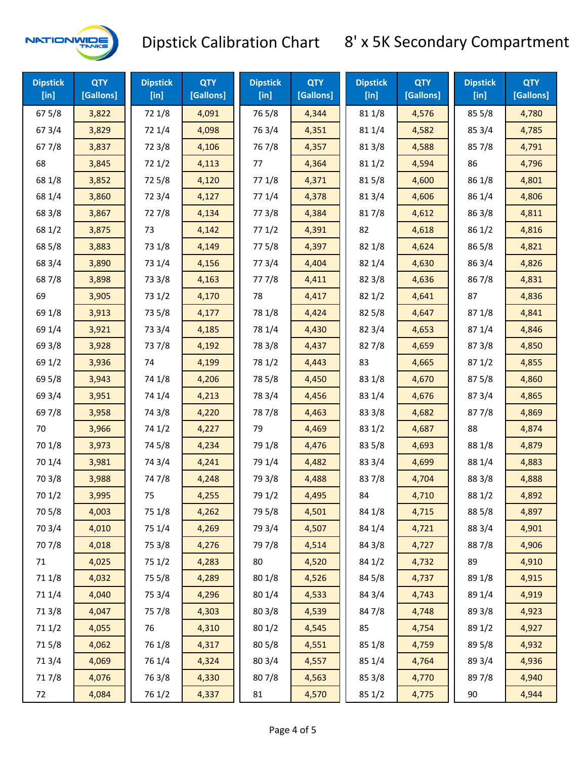

| <b>Dipstick</b><br>$[$ in] | <b>QTY</b><br>[Gallons] | <b>Dipstick</b><br>$[$ in] | <b>QTY</b><br>[Gallons] | <b>Dipstick</b><br>$[$ in] | <b>QTY</b><br>[Gallons] | <b>Dipstick</b><br>$[$ in] | <b>QTY</b><br>[Gallons] | <b>Dipstick</b><br>$[$ in] | <b>QTY</b><br>[Gallons] |
|----------------------------|-------------------------|----------------------------|-------------------------|----------------------------|-------------------------|----------------------------|-------------------------|----------------------------|-------------------------|
| 67 5/8                     | 3,822                   | 72 1/8                     | 4,091                   | 765/8                      | 4,344                   | 81 1/8                     | 4,576                   | 85 5/8                     | 4,780                   |
| 67 3/4                     | 3,829                   | 72 1/4                     | 4,098                   | 763/4                      | 4,351                   | 81 1/4                     | 4,582                   | 85 3/4                     | 4,785                   |
| 677/8                      | 3,837                   | 72 3/8                     | 4,106                   | 767/8                      | 4,357                   | 81 3/8                     | 4,588                   | 857/8                      | 4,791                   |
| 68                         | 3,845                   | 721/2                      | 4,113                   | 77                         | 4,364                   | 811/2                      | 4,594                   | 86                         | 4,796                   |
| 68 1/8                     | 3,852                   | 725/8                      | 4,120                   | 77 1/8                     | 4,371                   | 815/8                      | 4,600                   | 86 1/8                     | 4,801                   |
| 68 1/4                     | 3,860                   | 72 3/4                     | 4,127                   | 77 1/4                     | 4,378                   | 813/4                      | 4,606                   | 86 1/4                     | 4,806                   |
| 68 3/8                     | 3,867                   | 727/8                      | 4,134                   | 77 3/8                     | 4,384                   | 817/8                      | 4,612                   | 86 3/8                     | 4,811                   |
| 68 1/2                     | 3,875                   | 73                         | 4,142                   | 771/2                      | 4,391                   | 82                         | 4,618                   | 86 1/2                     | 4,816                   |
| 68 5/8                     | 3,883                   | 73 1/8                     | 4,149                   | 775/8                      | 4,397                   | 82 1/8                     | 4,624                   | 86 5/8                     | 4,821                   |
| 68 3/4                     | 3,890                   | 73 1/4                     | 4,156                   | 773/4                      | 4,404                   | 82 1/4                     | 4,630                   | 86 3/4                     | 4,826                   |
| 687/8                      | 3,898                   | 73 3/8                     | 4,163                   | 777/8                      | 4,411                   | 82 3/8                     | 4,636                   | 867/8                      | 4,831                   |
| 69                         | 3,905                   | 73 1/2                     | 4,170                   | 78                         | 4,417                   | 821/2                      | 4,641                   | 87                         | 4,836                   |
| 69 1/8                     | 3,913                   | 73 5/8                     | 4,177                   | 78 1/8                     | 4,424                   | 82 5/8                     | 4,647                   | 871/8                      | 4,841                   |
| 69 1/4                     | 3,921                   | 73 3/4                     | 4,185                   | 78 1/4                     | 4,430                   | 82 3/4                     | 4,653                   | 87 1/4                     | 4,846                   |
| 69 3/8                     | 3,928                   | 737/8                      | 4,192                   | 78 3/8                     | 4,437                   | 827/8                      | 4,659                   | 87 3/8                     | 4,850                   |
| 69 1/2                     | 3,936                   | 74                         | 4,199                   | 78 1/2                     | 4,443                   | 83                         | 4,665                   | 871/2                      | 4,855                   |
| 69 5/8                     | 3,943                   | 74 1/8                     | 4,206                   | 78 5/8                     | 4,450                   | 83 1/8                     | 4,670                   | 87 5/8                     | 4,860                   |
| 69 3/4                     | 3,951                   | 74 1/4                     | 4,213                   | 78 3/4                     | 4,456                   | 83 1/4                     | 4,676                   | 87 3/4                     | 4,865                   |
| 697/8                      | 3,958                   | 74 3/8                     | 4,220                   | 787/8                      | 4,463                   | 83 3/8                     | 4,682                   | 877/8                      | 4,869                   |
| 70                         | 3,966                   | 74 1/2                     | 4,227                   | 79                         | 4,469                   | 83 1/2                     | 4,687                   | 88                         | 4,874                   |
| 70 1/8                     | 3,973                   | 74 5/8                     | 4,234                   | 79 1/8                     | 4,476                   | 83 5/8                     | 4,693                   | 88 1/8                     | 4,879                   |
| 70 1/4                     | 3,981                   | 74 3/4                     | 4,241                   | 79 1/4                     | 4,482                   | 83 3/4                     | 4,699                   | 88 1/4                     | 4,883                   |
| 70 3/8                     | 3,988                   | 74 7/8                     | 4,248                   | 79 3/8                     | 4,488                   | 837/8                      | 4,704                   | 88 3/8                     | 4,888                   |
| 70 1/2                     | 3,995                   | 75                         | 4,255                   | 79 1/2                     | 4,495                   | 84                         | 4,710                   | 88 1/2                     | 4,892                   |
| 70 5/8                     | 4,003                   | 75 1/8                     | 4,262                   | 79 5/8                     | 4,501                   | 84 1/8                     | 4,715                   | 88 5/8                     | 4,897                   |
| 70 3/4                     | 4,010                   | 75 1/4                     | 4,269                   | 79 3/4                     | 4,507                   | 84 1/4                     | 4,721                   | 88 3/4                     | 4,901                   |
| 70 7/8                     | 4,018                   | 75 3/8                     | 4,276                   | 79 7/8                     | 4,514                   | 84 3/8                     | 4,727                   | 887/8                      | 4,906                   |
| 71                         | 4,025                   | 75 1/2                     | 4,283                   | 80                         | 4,520                   | 84 1/2                     | 4,732                   | 89                         | 4,910                   |
| 71 1/8                     | 4,032                   | 75 5/8                     | 4,289                   | 80 1/8                     | 4,526                   | 84 5/8                     | 4,737                   | 89 1/8                     | 4,915                   |
| 71 1/4                     | 4,040                   | 75 3/4                     | 4,296                   | 80 1/4                     | 4,533                   | 84 3/4                     | 4,743                   | 89 1/4                     | 4,919                   |
| 713/8                      | 4,047                   | 75 7/8                     | 4,303                   | 803/8                      | 4,539                   | 847/8                      | 4,748                   | 89 3/8                     | 4,923                   |
| 71 1/2                     | 4,055                   | 76                         | 4,310                   | 801/2                      | 4,545                   | 85                         | 4,754                   | 89 1/2                     | 4,927                   |
| 715/8                      | 4,062                   | 76 1/8                     | 4,317                   | 80 5/8                     | 4,551                   | 85 1/8                     | 4,759                   | 89 5/8                     | 4,932                   |
| 71 3/4                     | 4,069                   | 76 1/4                     | 4,324                   | 80 3/4                     | 4,557                   | 85 1/4                     | 4,764                   | 89 3/4                     | 4,936                   |
| 717/8                      | 4,076                   | 763/8                      | 4,330                   | 807/8                      | 4,563                   | 85 3/8                     | 4,770                   | 897/8                      | 4,940                   |
| 72                         | 4,084                   | 76 1/2                     | 4,337                   | 81                         | 4,570                   | 85 1/2                     | 4,775                   | 90                         | 4,944                   |